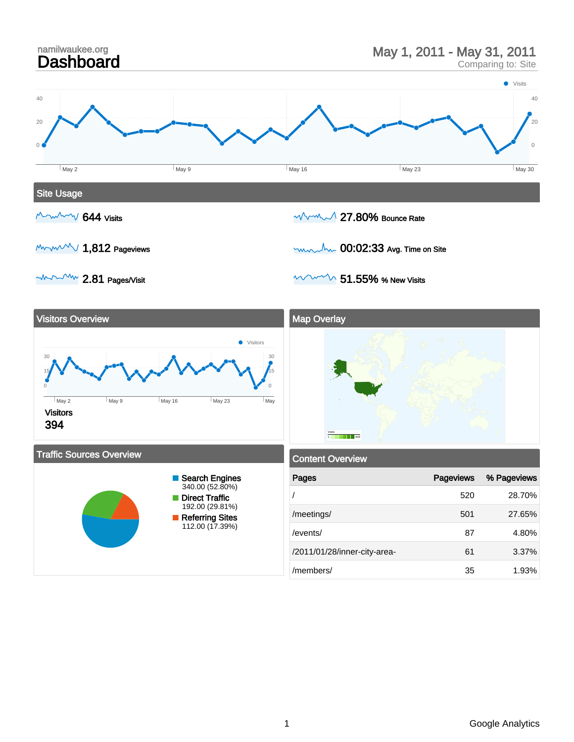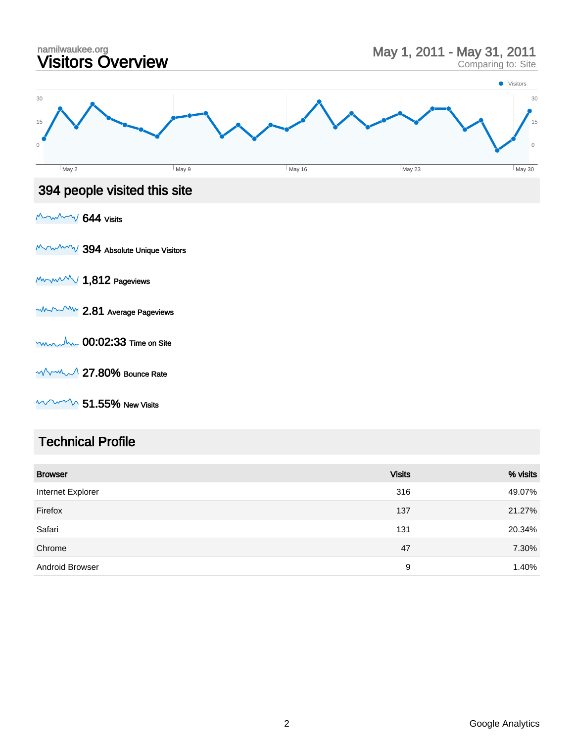

### Technical Profile

| <b>Browser</b>         | <b>Visits</b> | % visits |
|------------------------|---------------|----------|
| Internet Explorer      | 316           | 49.07%   |
| Firefox                | 137           | 21.27%   |
| Safari                 | 131           | 20.34%   |
| Chrome                 | 47            | 7.30%    |
| <b>Android Browser</b> | 9             | 1.40%    |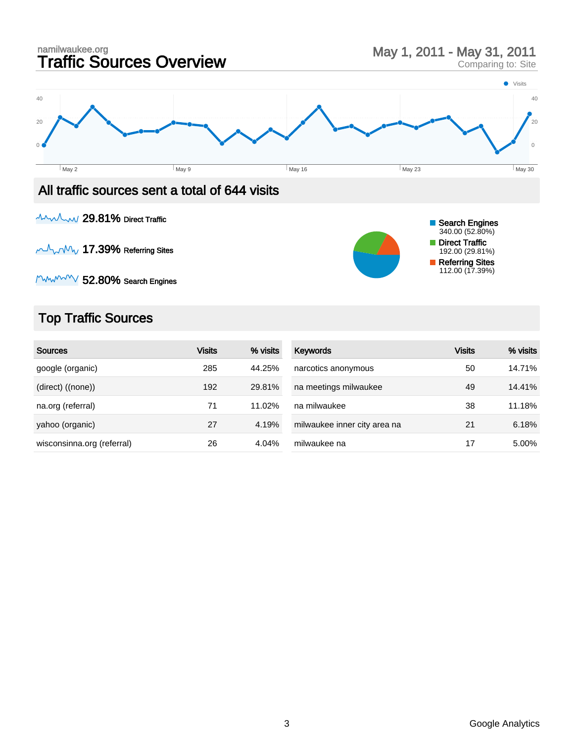

**AAMAM 29.81% Direct Traffic** 

 $M_{\rm V}$   $M_{\rm V}$  17.39% Referring Sites



 $M_{\rm W}$   $\sim$  52.80% Search Engines

# Top Traffic Sources

| <b>Sources</b>             | <b>Visits</b> | % visits | Keywords                     | <b>Visits</b> | % visits |
|----------------------------|---------------|----------|------------------------------|---------------|----------|
| google (organic)           | 285           | 44.25%   | narcotics anonymous          | 50            | 14.71%   |
| (direct) ((none))          | 192           | 29.81%   | na meetings milwaukee        | 49            | 14.41%   |
| na.org (referral)          | 71            | 11.02%   | na milwaukee                 | 38            | 11.18%   |
| yahoo (organic)            | 27            | 4.19%    | milwaukee inner city area na | 21            | 6.18%    |
| wisconsinna.org (referral) | 26            | 4.04%    | milwaukee na                 | 17            | 5.00%    |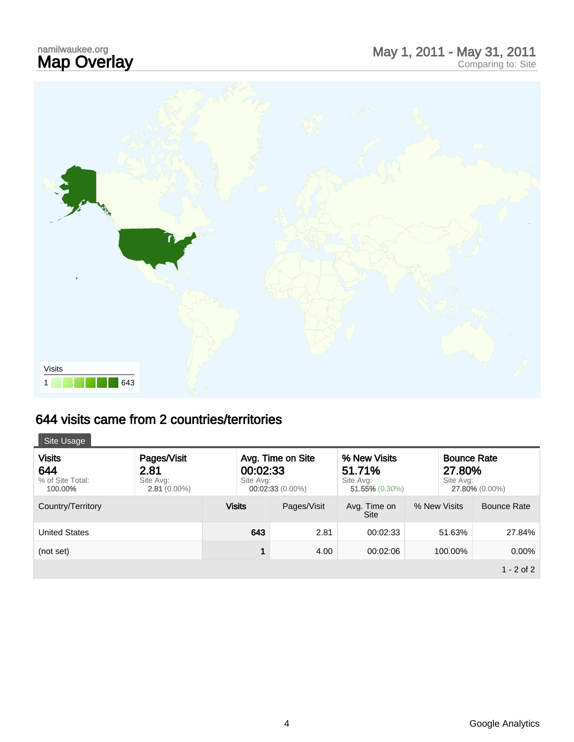# namilwaukee.org<br>**Map Overlay**



## 644 visits came from 2 countries/territories

| Site Usage                                          |                                                    |                       |                                         |                                                       |                                           |                |
|-----------------------------------------------------|----------------------------------------------------|-----------------------|-----------------------------------------|-------------------------------------------------------|-------------------------------------------|----------------|
| <b>Visits</b><br>644<br>% of Site Total:<br>100,00% | Pages/Visit<br>2.81<br>Site Avg:<br>$2.81(0.00\%)$ | 00:02:33<br>Site Ava: | Avg. Time on Site<br>$00:02:33(0.00\%)$ | % New Visits<br>51.71%<br>Site Avg:<br>51.55% (0.30%) | <b>Bounce Rate</b><br>27,80%<br>Site Avg: | 27.80% (0.00%) |
| Country/Territory                                   |                                                    | <b>Visits</b>         | Pages/Visit                             | Avg. Time on<br><b>Site</b>                           | % New Visits                              | Bounce Rate    |
| <b>United States</b>                                |                                                    | 643                   | 2.81                                    | 00:02:33                                              | 51.63%                                    | 27.84%         |
| (not set)                                           |                                                    | 1                     | 4.00                                    | 00:02:06                                              | 100.00%                                   | 0.00%          |
|                                                     |                                                    |                       |                                         |                                                       |                                           | $1 - 2$ of 2   |